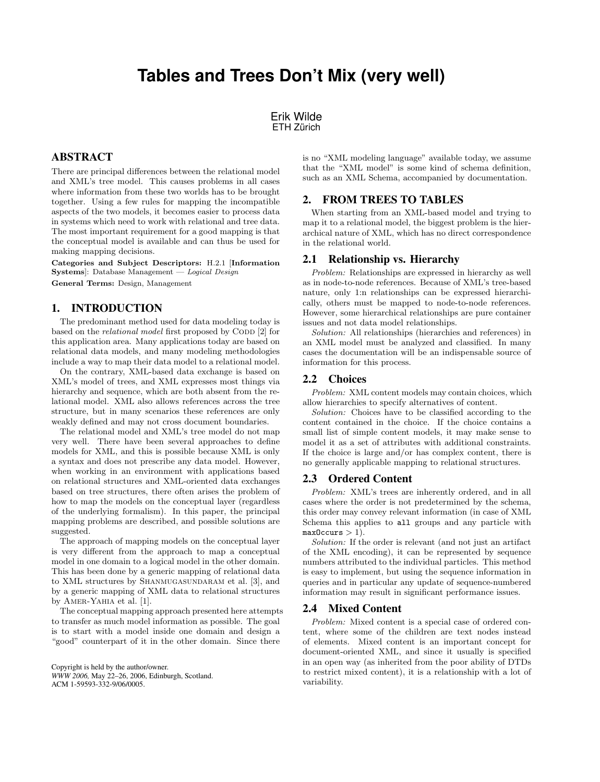# **Tables and Trees Don't Mix (very well)**

Erik Wilde ETH Zürich

## ABSTRACT

There are principal differences between the relational model and XML's tree model. This causes problems in all cases where information from these two worlds has to be brought together. Using a few rules for mapping the incompatible aspects of the two models, it becomes easier to process data in systems which need to work with relational and tree data. The most important requirement for a good mapping is that the conceptual model is available and can thus be used for making mapping decisions.

Categories and Subject Descriptors: H.2.1 [Information Systems]: Database Management — Logical Design General Terms: Design, Management

# 1. INTRODUCTION

The predominant method used for data modeling today is based on the *relational model* first proposed by CODD [\[2\]](#page-1-0) for this application area. Many applications today are based on relational data models, and many modeling methodologies include a way to map their data model to a relational model.

On the contrary, XML-based data exchange is based on XML's model of trees, and XML expresses most things via hierarchy and sequence, which are both absent from the relational model. XML also allows references across the tree structure, but in many scenarios these references are only weakly defined and may not cross document boundaries.

The relational model and XML's tree model do not map very well. There have been several approaches to define models for XML, and this is possible because XML is only a syntax and does not prescribe any data model. However, when working in an environment with applications based on relational structures and XML-oriented data exchanges based on tree structures, there often arises the problem of how to map the models on the conceptual layer (regardless of the underlying formalism). In this paper, the principal mapping problems are described, and possible solutions are suggested.

The approach of mapping models on the conceptual layer is very different from the approach to map a conceptual model in one domain to a logical model in the other domain. This has been done by a generic mapping of relational data to XML structures by SHANMUGASUNDARAM et al. [\[3\]](#page-1-0), and by a generic mapping of XML data to relational structures by AMER-YAHIA et al. [\[1\]](#page-1-0).

The conceptual mapping approach presented here attempts to transfer as much model information as possible. The goal is to start with a model inside one domain and design a "good" counterpart of it in the other domain. Since there

is no "XML modeling language" available today, we assume that the "XML model" is some kind of schema definition, such as an XML Schema, accompanied by documentation.

## 2. FROM TREES TO TABLES

When starting from an XML-based model and trying to map it to a relational model, the biggest problem is the hierarchical nature of XML, which has no direct correspondence in the relational world.

#### 2.1 Relationship vs. Hierarchy

Problem: Relationships are expressed in hierarchy as well as in node-to-node references. Because of XML's tree-based nature, only 1:n relationships can be expressed hierarchically, others must be mapped to node-to-node references. However, some hierarchical relationships are pure container issues and not data model relationships.

Solution: All relationships (hierarchies and references) in an XML model must be analyzed and classified. In many cases the documentation will be an indispensable source of information for this process.

#### 2.2 Choices

Problem: XML content models may contain choices, which allow hierarchies to specify alternatives of content.

Solution: Choices have to be classified according to the content contained in the choice. If the choice contains a small list of simple content models, it may make sense to model it as a set of attributes with additional constraints. If the choice is large and/or has complex content, there is no generally applicable mapping to relational structures.

#### 2.3 Ordered Content

Problem: XML's trees are inherently ordered, and in all cases where the order is not predetermined by the schema, this order may convey relevant information (in case of XML Schema this applies to all groups and any particle with  $maxOccurs > 1$ .

Solution: If the order is relevant (and not just an artifact of the XML encoding), it can be represented by sequence numbers attributed to the individual particles. This method is easy to implement, but using the sequence information in queries and in particular any update of sequence-numbered information may result in significant performance issues.

#### 2.4 Mixed Content

Problem: Mixed content is a special case of ordered content, where some of the children are text nodes instead of elements. Mixed content is an important concept for document-oriented XML, and since it usually is specified in an open way (as inherited from the poor ability of DTDs to restrict mixed content), it is a relationship with a lot of variability.